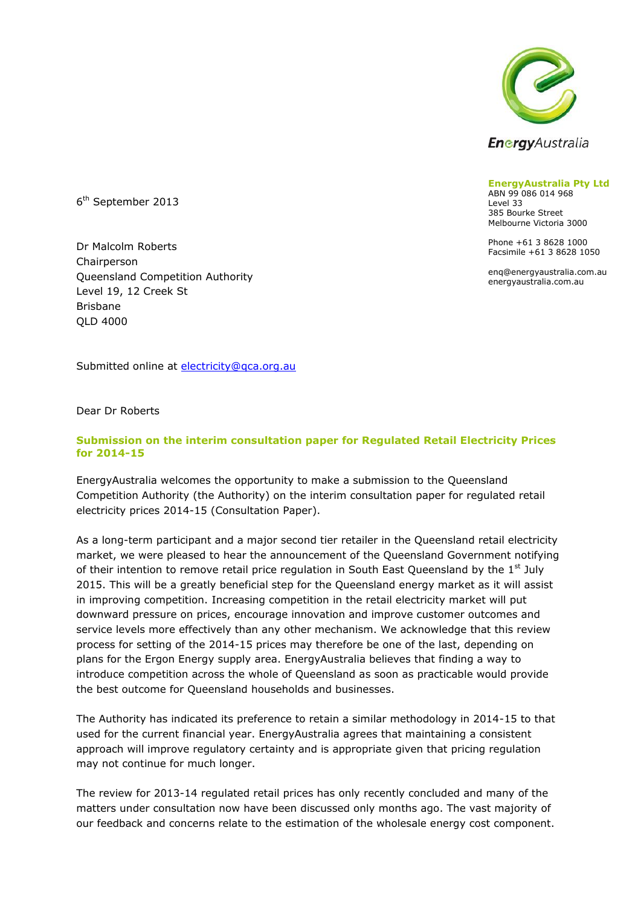

**EnergyAustralia Pty Ltd**

ABN 99 086 014 968 Level 33 385 Bourke Street Melbourne Victoria 3000

Phone +61 3 8628 1000 Facsimile +61 3 8628 1050

enq@energyaustralia.com.au energyaustralia.com.au

6 th September 2013

Dr Malcolm Roberts Chairperson Queensland Competition Authority Level 19, 12 Creek St Brisbane QLD 4000

Submitted online at [electricity@qca.org.au](mailto:electricity@qca.org.au)

Dear Dr Roberts

#### **Submission on the interim consultation paper for Regulated Retail Electricity Prices for 2014-15**

EnergyAustralia welcomes the opportunity to make a submission to the Queensland Competition Authority (the Authority) on the interim consultation paper for regulated retail electricity prices 2014-15 (Consultation Paper).

As a long-term participant and a major second tier retailer in the Queensland retail electricity market, we were pleased to hear the announcement of the Queensland Government notifying of their intention to remove retail price regulation in South East Queensland by the  $1<sup>st</sup>$  July 2015. This will be a greatly beneficial step for the Queensland energy market as it will assist in improving competition. Increasing competition in the retail electricity market will put downward pressure on prices, encourage innovation and improve customer outcomes and service levels more effectively than any other mechanism. We acknowledge that this review process for setting of the 2014-15 prices may therefore be one of the last, depending on plans for the Ergon Energy supply area. EnergyAustralia believes that finding a way to introduce competition across the whole of Queensland as soon as practicable would provide the best outcome for Queensland households and businesses.

The Authority has indicated its preference to retain a similar methodology in 2014-15 to that used for the current financial year. EnergyAustralia agrees that maintaining a consistent approach will improve regulatory certainty and is appropriate given that pricing regulation may not continue for much longer.

The review for 2013-14 regulated retail prices has only recently concluded and many of the matters under consultation now have been discussed only months ago. The vast majority of our feedback and concerns relate to the estimation of the wholesale energy cost component.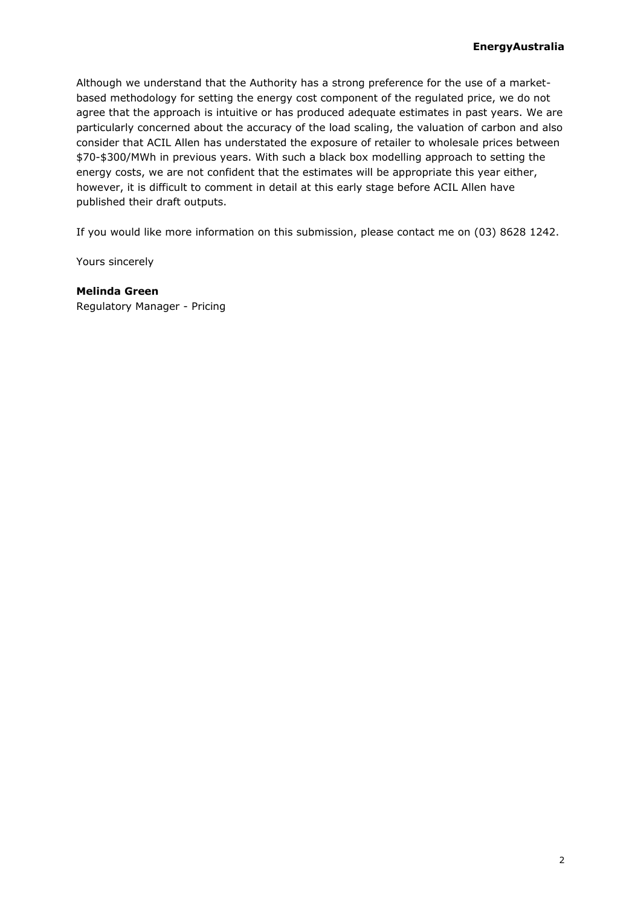Although we understand that the Authority has a strong preference for the use of a marketbased methodology for setting the energy cost component of the regulated price, we do not agree that the approach is intuitive or has produced adequate estimates in past years. We are particularly concerned about the accuracy of the load scaling, the valuation of carbon and also consider that ACIL Allen has understated the exposure of retailer to wholesale prices between \$70-\$300/MWh in previous years. With such a black box modelling approach to setting the energy costs, we are not confident that the estimates will be appropriate this year either, however, it is difficult to comment in detail at this early stage before ACIL Allen have published their draft outputs.

If you would like more information on this submission, please contact me on (03) 8628 1242.

Yours sincerely

**Melinda Green** Regulatory Manager - Pricing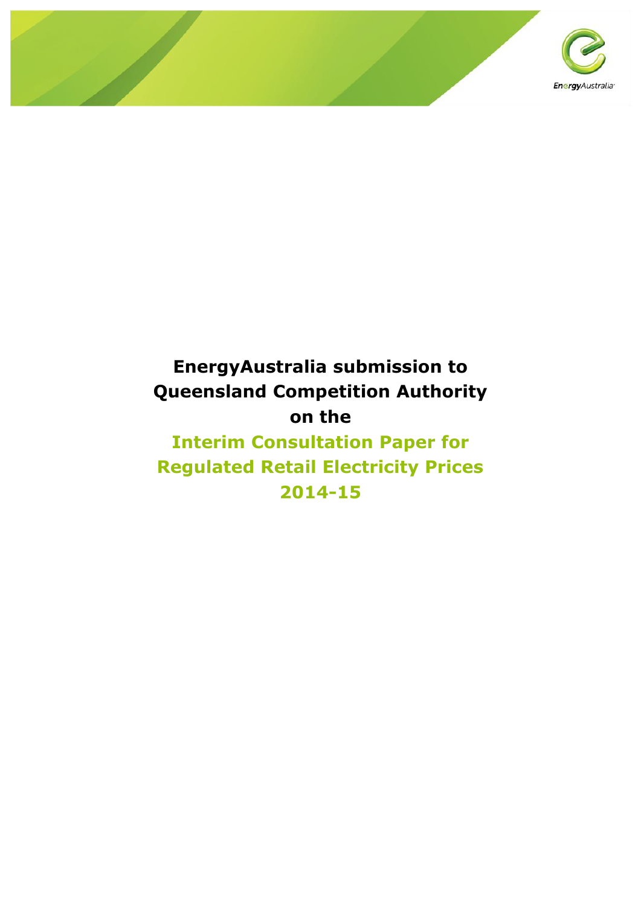

# **EnergyAustralia submission to Queensland Competition Authority on the**

**Interim Consultation Paper for Regulated Retail Electricity Prices 2014-15**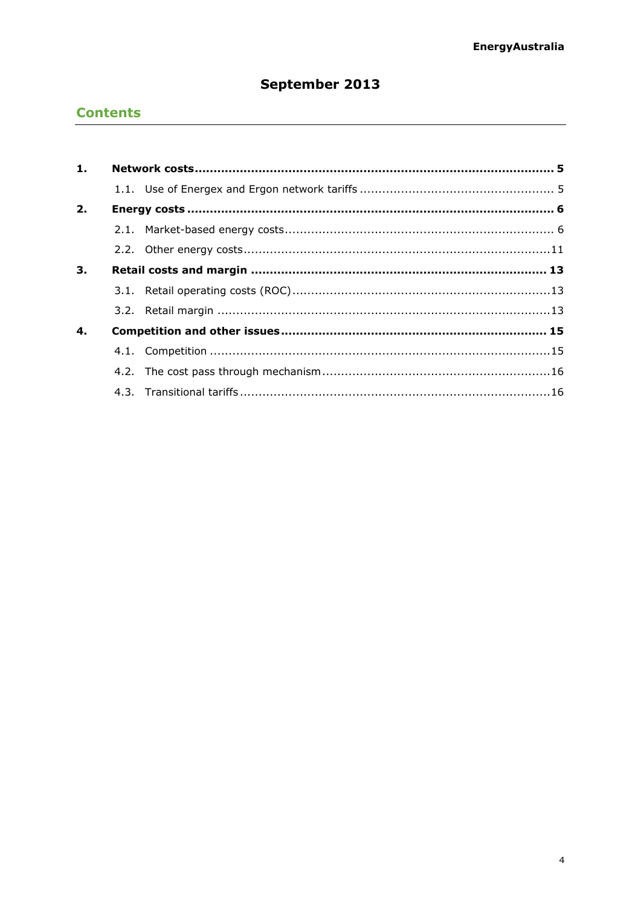# September 2013

# **Contents**

| 1. |  |  |  |  |  |
|----|--|--|--|--|--|
|    |  |  |  |  |  |
| 2. |  |  |  |  |  |
|    |  |  |  |  |  |
|    |  |  |  |  |  |
| 3. |  |  |  |  |  |
|    |  |  |  |  |  |
|    |  |  |  |  |  |
| 4. |  |  |  |  |  |
|    |  |  |  |  |  |
|    |  |  |  |  |  |
|    |  |  |  |  |  |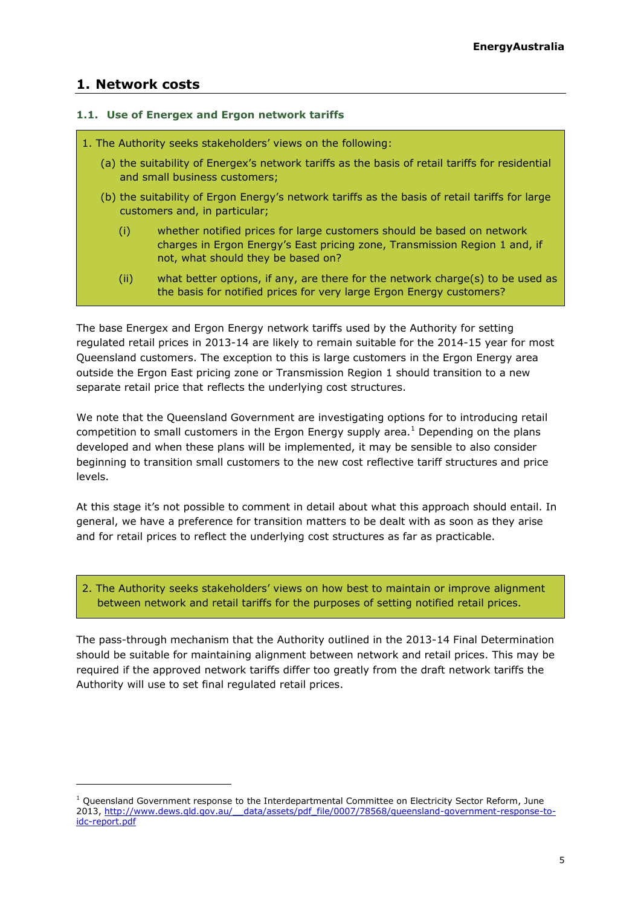# <span id="page-4-0"></span>**1. Network costs**

-

#### <span id="page-4-1"></span>**1.1. Use of Energex and Ergon network tariffs**

#### 1. The Authority seeks stakeholders' views on the following:

- (a) the suitability of Energex's network tariffs as the basis of retail tariffs for residential and small business customers;
- (b) the suitability of Ergon Energy's network tariffs as the basis of retail tariffs for large customers and, in particular;
	- (i) whether notified prices for large customers should be based on network charges in Ergon Energy's East pricing zone, Transmission Region 1 and, if not, what should they be based on?
	- (ii) what better options, if any, are there for the network charge(s) to be used as the basis for notified prices for very large Ergon Energy customers?

The base Energex and Ergon Energy network tariffs used by the Authority for setting regulated retail prices in 2013-14 are likely to remain suitable for the 2014-15 year for most Queensland customers. The exception to this is large customers in the Ergon Energy area outside the Ergon East pricing zone or Transmission Region 1 should transition to a new separate retail price that reflects the underlying cost structures.

We note that the Queensland Government are investigating options for to introducing retail competition to small customers in the Ergon Energy supply area.<sup>1</sup> Depending on the plans developed and when these plans will be implemented, it may be sensible to also consider beginning to transition small customers to the new cost reflective tariff structures and price levels.

At this stage it's not possible to comment in detail about what this approach should entail. In general, we have a preference for transition matters to be dealt with as soon as they arise and for retail prices to reflect the underlying cost structures as far as practicable.

2. The Authority seeks stakeholders' views on how best to maintain or improve alignment between network and retail tariffs for the purposes of setting notified retail prices.

The pass-through mechanism that the Authority outlined in the 2013-14 Final Determination should be suitable for maintaining alignment between network and retail prices. This may be required if the approved network tariffs differ too greatly from the draft network tariffs the Authority will use to set final regulated retail prices.

 $1$  Queensland Government response to the Interdepartmental Committee on Electricity Sector Reform, June 2013, http://www.dews.qld.gov.au/ data/assets/pdf file/0007/78568/queensland-government-response-to[idc-report.pdf](http://www.dews.qld.gov.au/__data/assets/pdf_file/0007/78568/queensland-government-response-to-idc-report.pdf)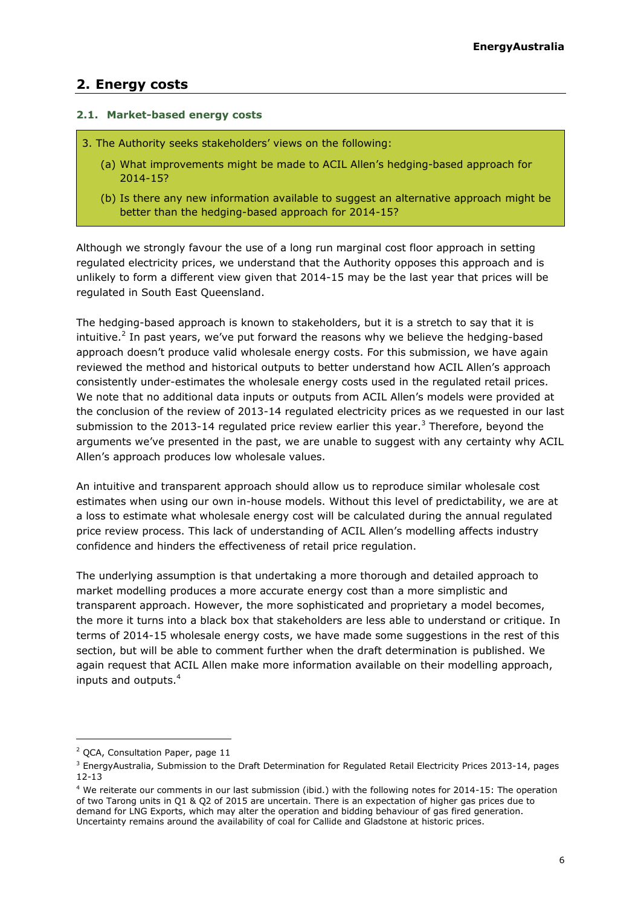# <span id="page-5-0"></span>**2. Energy costs**

#### <span id="page-5-1"></span>**2.1. Market-based energy costs**

- 3. The Authority seeks stakeholders' views on the following:
	- (a) What improvements might be made to ACIL Allen's hedging-based approach for 2014-15?
	- (b) Is there any new information available to suggest an alternative approach might be better than the hedging-based approach for 2014-15?

Although we strongly favour the use of a long run marginal cost floor approach in setting regulated electricity prices, we understand that the Authority opposes this approach and is unlikely to form a different view given that 2014-15 may be the last year that prices will be regulated in South East Queensland.

The hedging-based approach is known to stakeholders, but it is a stretch to say that it is intuitive.<sup>2</sup> In past years, we've put forward the reasons why we believe the hedging-based approach doesn't produce valid wholesale energy costs. For this submission, we have again reviewed the method and historical outputs to better understand how ACIL Allen's approach consistently under-estimates the wholesale energy costs used in the regulated retail prices. We note that no additional data inputs or outputs from ACIL Allen's models were provided at the conclusion of the review of 2013-14 regulated electricity prices as we requested in our last submission to the 2013-14 regulated price review earlier this year.<sup>3</sup> Therefore, beyond the arguments we've presented in the past, we are unable to suggest with any certainty why ACIL Allen's approach produces low wholesale values.

An intuitive and transparent approach should allow us to reproduce similar wholesale cost estimates when using our own in-house models. Without this level of predictability, we are at a loss to estimate what wholesale energy cost will be calculated during the annual regulated price review process. This lack of understanding of ACIL Allen's modelling affects industry confidence and hinders the effectiveness of retail price regulation.

The underlying assumption is that undertaking a more thorough and detailed approach to market modelling produces a more accurate energy cost than a more simplistic and transparent approach. However, the more sophisticated and proprietary a model becomes, the more it turns into a black box that stakeholders are less able to understand or critique. In terms of 2014-15 wholesale energy costs, we have made some suggestions in the rest of this section, but will be able to comment further when the draft determination is published. We again request that ACIL Allen make more information available on their modelling approach, inputs and outputs.<sup>4</sup>

<sup>&</sup>lt;sup>2</sup> QCA, Consultation Paper, page 11

<sup>3</sup> EnergyAustralia, Submission to the Draft Determination for Regulated Retail Electricity Prices 2013-14, pages 12-13

<sup>&</sup>lt;sup>4</sup> We reiterate our comments in our last submission (ibid.) with the following notes for 2014-15: The operation of two Tarong units in Q1 & Q2 of 2015 are uncertain. There is an expectation of higher gas prices due to demand for LNG Exports, which may alter the operation and bidding behaviour of gas fired generation. Uncertainty remains around the availability of coal for Callide and Gladstone at historic prices.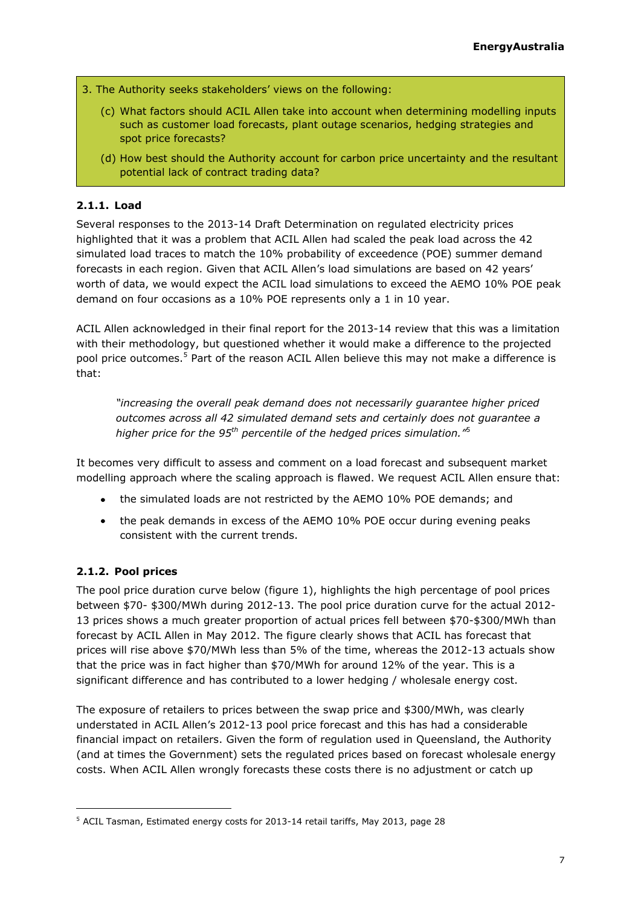- 3. The Authority seeks stakeholders' views on the following:
	- (c) What factors should ACIL Allen take into account when determining modelling inputs such as customer load forecasts, plant outage scenarios, hedging strategies and spot price forecasts?
	- (d) How best should the Authority account for carbon price uncertainty and the resultant potential lack of contract trading data?

#### **2.1.1. Load**

Several responses to the 2013-14 Draft Determination on regulated electricity prices highlighted that it was a problem that ACIL Allen had scaled the peak load across the 42 simulated load traces to match the 10% probability of exceedence (POE) summer demand forecasts in each region. Given that ACIL Allen's load simulations are based on 42 years' worth of data, we would expect the ACIL load simulations to exceed the AEMO 10% POE peak demand on four occasions as a 10% POE represents only a 1 in 10 year.

ACIL Allen acknowledged in their final report for the 2013-14 review that this was a limitation with their methodology, but questioned whether it would make a difference to the projected pool price outcomes.<sup>5</sup> Part of the reason ACIL Allen believe this may not make a difference is that:

<span id="page-6-0"></span>*"increasing the overall peak demand does not necessarily guarantee higher priced outcomes across all 42 simulated demand sets and certainly does not guarantee a higher price for the 95th percentile of the hedged prices simulation."*[5](#page-6-0)

It becomes very difficult to assess and comment on a load forecast and subsequent market modelling approach where the scaling approach is flawed. We request ACIL Allen ensure that:

- the simulated loads are not restricted by the AEMO 10% POE demands; and
- the peak demands in excess of the AEMO 10% POE occur during evening peaks consistent with the current trends.

# **2.1.2. Pool prices**

The pool price duration curve below (figure 1), highlights the high percentage of pool prices between \$70- \$300/MWh during 2012-13. The pool price duration curve for the actual 2012- 13 prices shows a much greater proportion of actual prices fell between \$70-\$300/MWh than forecast by ACIL Allen in May 2012. The figure clearly shows that ACIL has forecast that prices will rise above \$70/MWh less than 5% of the time, whereas the 2012-13 actuals show that the price was in fact higher than \$70/MWh for around 12% of the year. This is a significant difference and has contributed to a lower hedging / wholesale energy cost.

The exposure of retailers to prices between the swap price and \$300/MWh, was clearly understated in ACIL Allen's 2012-13 pool price forecast and this has had a considerable financial impact on retailers. Given the form of regulation used in Queensland, the Authority (and at times the Government) sets the regulated prices based on forecast wholesale energy costs. When ACIL Allen wrongly forecasts these costs there is no adjustment or catch up

<sup>5</sup> ACIL Tasman, Estimated energy costs for 2013-14 retail tariffs, May 2013, page 28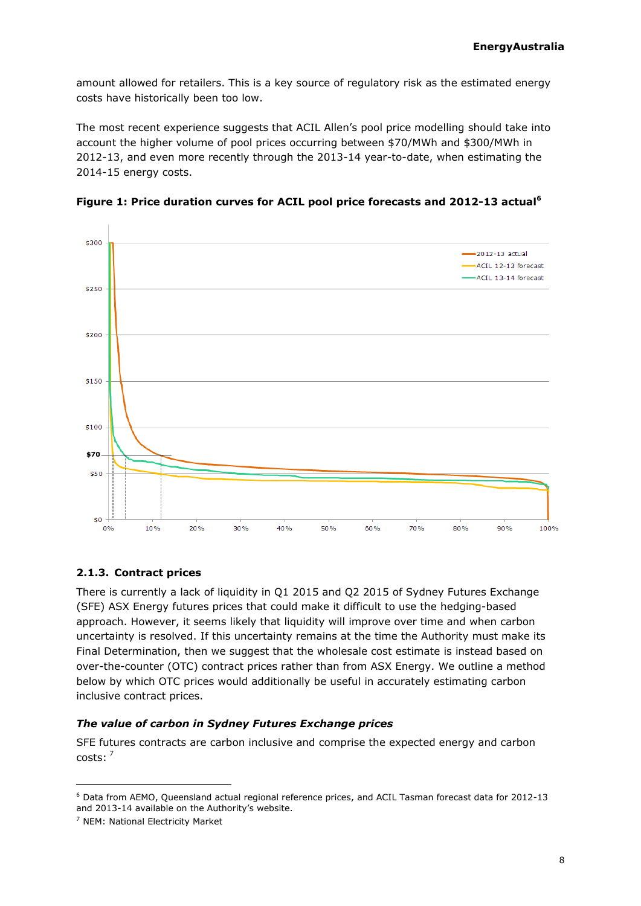amount allowed for retailers. This is a key source of regulatory risk as the estimated energy costs have historically been too low.

The most recent experience suggests that ACIL Allen's pool price modelling should take into account the higher volume of pool prices occurring between \$70/MWh and \$300/MWh in 2012-13, and even more recently through the 2013-14 year-to-date, when estimating the 2014-15 energy costs.





# **2.1.3. Contract prices**

There is currently a lack of liquidity in Q1 2015 and Q2 2015 of Sydney Futures Exchange (SFE) ASX Energy futures prices that could make it difficult to use the hedging-based approach. However, it seems likely that liquidity will improve over time and when carbon uncertainty is resolved. If this uncertainty remains at the time the Authority must make its Final Determination, then we suggest that the wholesale cost estimate is instead based on over-the-counter (OTC) contract prices rather than from ASX Energy. We outline a method below by which OTC prices would additionally be useful in accurately estimating carbon inclusive contract prices.

#### *The value of carbon in Sydney Futures Exchange prices*

SFE futures contracts are carbon inclusive and comprise the expected energy and carbon costs:<sup>7</sup>

<sup>6</sup> Data from AEMO, Queensland actual regional reference prices, and ACIL Tasman forecast data for 2012-13 and 2013-14 available on the Authority's website.

<sup>7</sup> NEM: National Electricity Market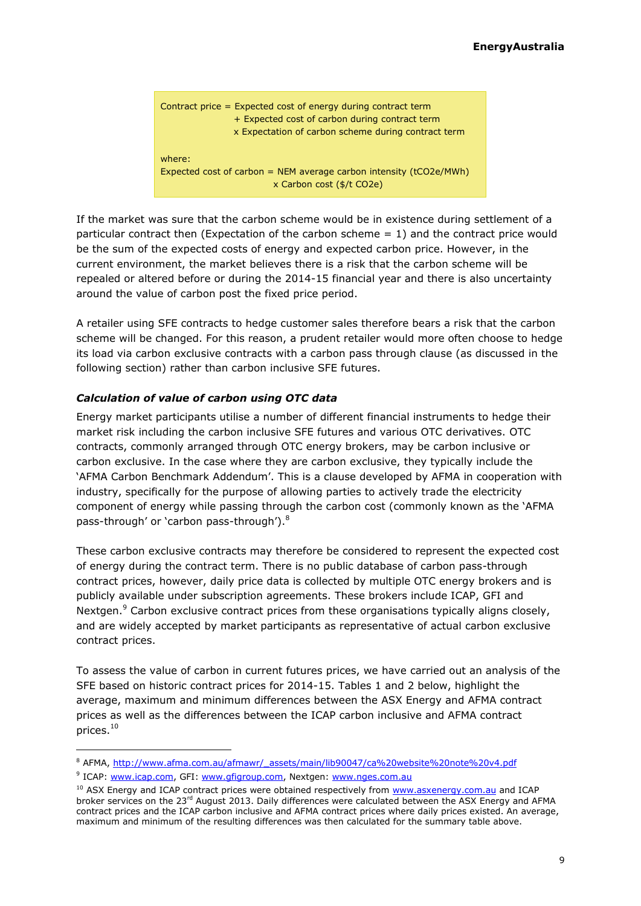

If the market was sure that the carbon scheme would be in existence during settlement of a particular contract then (Expectation of the carbon scheme = 1) and the contract price would be the sum of the expected costs of energy and expected carbon price. However, in the current environment, the market believes there is a risk that the carbon scheme will be repealed or altered before or during the 2014-15 financial year and there is also uncertainty around the value of carbon post the fixed price period.

A retailer using SFE contracts to hedge customer sales therefore bears a risk that the carbon scheme will be changed. For this reason, a prudent retailer would more often choose to hedge its load via carbon exclusive contracts with a carbon pass through clause (as discussed in the following section) rather than carbon inclusive SFE futures.

#### *Calculation of value of carbon using OTC data*

Energy market participants utilise a number of different financial instruments to hedge their market risk including the carbon inclusive SFE futures and various OTC derivatives. OTC contracts, commonly arranged through OTC energy brokers, may be carbon inclusive or carbon exclusive. In the case where they are carbon exclusive, they typically include the 'AFMA Carbon Benchmark Addendum'. This is a clause developed by AFMA in cooperation with industry, specifically for the purpose of allowing parties to actively trade the electricity component of energy while passing through the carbon cost (commonly known as the 'AFMA pass-through' or `carbon pass-through'). $^8$ 

These carbon exclusive contracts may therefore be considered to represent the expected cost of energy during the contract term. There is no public database of carbon pass-through contract prices, however, daily price data is collected by multiple OTC energy brokers and is publicly available under subscription agreements. These brokers include ICAP, GFI and Nextgen.<sup>9</sup> Carbon exclusive contract prices from these organisations typically aligns closely, and are widely accepted by market participants as representative of actual carbon exclusive contract prices.

To assess the value of carbon in current futures prices, we have carried out an analysis of the SFE based on historic contract prices for 2014-15. Tables 1 and 2 below, highlight the average, maximum and minimum differences between the ASX Energy and AFMA contract prices as well as the differences between the ICAP carbon inclusive and AFMA contract prices.<sup>10</sup>

<span id="page-8-0"></span><sup>8</sup> AFMA, [http://www.afma.com.au/afmawr/\\_assets/main/lib90047/ca%20website%20note%20v4.pdf](http://www.afma.com.au/afmawr/_assets/main/lib90047/ca%20website%20note%20v4.pdf)

<sup>&</sup>lt;sup>9</sup> ICAP: <u>www.icap.com</u>, GFI: <u>www.qfigroup.com</u>, Nextgen: <u>www.nges.com.au</u>

<sup>&</sup>lt;sup>10</sup> ASX Energy and ICAP contract prices were obtained respectively from [www.asxenergy.com.au](http://www.asxenergy.com.au/) and ICAP broker services on the 23<sup>rd</sup> August 2013. Daily differences were calculated between the ASX Energy and AFMA contract prices and the ICAP carbon inclusive and AFMA contract prices where daily prices existed. An average, maximum and minimum of the resulting differences was then calculated for the summary table above.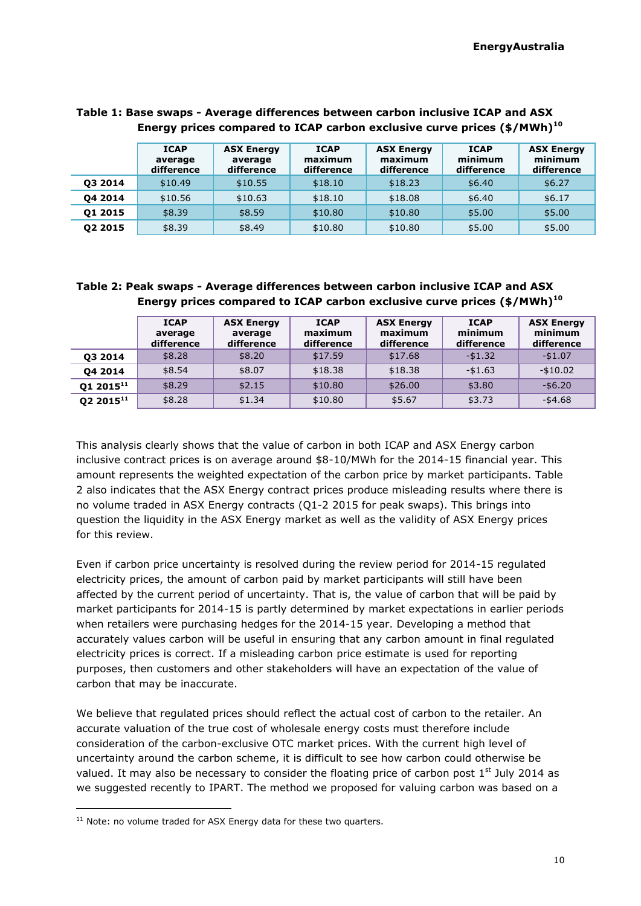|         | <b>ICAP</b><br>average<br>difference | <b>ASX Energy</b><br>average<br>difference | <b>ICAP</b><br>maximum<br>difference | <b>ASX Energy</b><br>maximum<br>difference | <b>ICAP</b><br>minimum<br>difference | <b>ASX Energy</b><br>minimum<br>difference |
|---------|--------------------------------------|--------------------------------------------|--------------------------------------|--------------------------------------------|--------------------------------------|--------------------------------------------|
| 03 2014 | \$10.49                              | \$10.55                                    | \$18.10                              | \$18.23                                    | \$6.40                               | \$6.27                                     |
| 04 2014 | \$10.56                              | \$10.63                                    | \$18.10                              | \$18.08                                    | \$6.40                               | \$6.17                                     |
| 01 2015 | \$8.39                               | \$8.59                                     | \$10.80                              | \$10.80                                    | \$5.00                               | \$5.00                                     |
| 02 2015 | \$8.39                               | \$8.49                                     | \$10.80                              | \$10.80                                    | \$5.00                               | \$5.00                                     |

#### **Table 1: Base swaps - Average differences between carbon inclusive ICAP and ASX Energy prices compared to ICAP carbon exclusive curve prices (\$/MWh)[10](#page-8-0)**

# **Table 2: Peak swaps - Average differences between carbon inclusive ICAP and ASX Energy prices compared to ICAP carbon exclusive curve prices (\$/MWh)[10](#page-8-0)**

|                       | <b>ICAP</b><br>average<br>difference | <b>ASX Energy</b><br>average<br>difference | <b>ICAP</b><br>maximum<br>difference | <b>ASX Energy</b><br>maximum<br>difference | <b>ICAP</b><br>minimum<br>difference | <b>ASX Energy</b><br>minimum<br>difference |
|-----------------------|--------------------------------------|--------------------------------------------|--------------------------------------|--------------------------------------------|--------------------------------------|--------------------------------------------|
| 03 2014               | \$8.28                               | \$8.20                                     | \$17.59                              | \$17.68                                    | $-$1.32$                             | $-$1.07$                                   |
| 04 2014               | \$8.54                               | \$8.07                                     | \$18.38                              | \$18.38                                    | $-$1.63$                             | $-$10.02$                                  |
| Q1 2015 <sup>11</sup> | \$8.29                               | \$2.15                                     | \$10.80                              | \$26.00                                    | \$3.80                               | $-$ \$6.20                                 |
| Q2 2015 <sup>11</sup> | \$8.28                               | \$1.34                                     | \$10.80                              | \$5.67                                     | \$3.73                               | $-$ \$4.68                                 |

<span id="page-9-0"></span>This analysis clearly shows that the value of carbon in both ICAP and ASX Energy carbon inclusive contract prices is on average around \$8-10/MWh for the 2014-15 financial year. This amount represents the weighted expectation of the carbon price by market participants. Table 2 also indicates that the ASX Energy contract prices produce misleading results where there is no volume traded in ASX Energy contracts (Q1-2 2015 for peak swaps). This brings into question the liquidity in the ASX Energy market as well as the validity of ASX Energy prices for this review.

Even if carbon price uncertainty is resolved during the review period for 2014-15 regulated electricity prices, the amount of carbon paid by market participants will still have been affected by the current period of uncertainty. That is, the value of carbon that will be paid by market participants for 2014-15 is partly determined by market expectations in earlier periods when retailers were purchasing hedges for the 2014-15 year. Developing a method that accurately values carbon will be useful in ensuring that any carbon amount in final regulated electricity prices is correct. If a misleading carbon price estimate is used for reporting purposes, then customers and other stakeholders will have an expectation of the value of carbon that may be inaccurate.

We believe that regulated prices should reflect the actual cost of carbon to the retailer. An accurate valuation of the true cost of wholesale energy costs must therefore include consideration of the carbon-exclusive OTC market prices. With the current high level of uncertainty around the carbon scheme, it is difficult to see how carbon could otherwise be valued. It may also be necessary to consider the floating price of carbon post  $1<sup>st</sup>$  July 2014 as we suggested recently to IPART. The method we proposed for valuing carbon was based on a

 $11$  Note: no volume traded for ASX Energy data for these two quarters.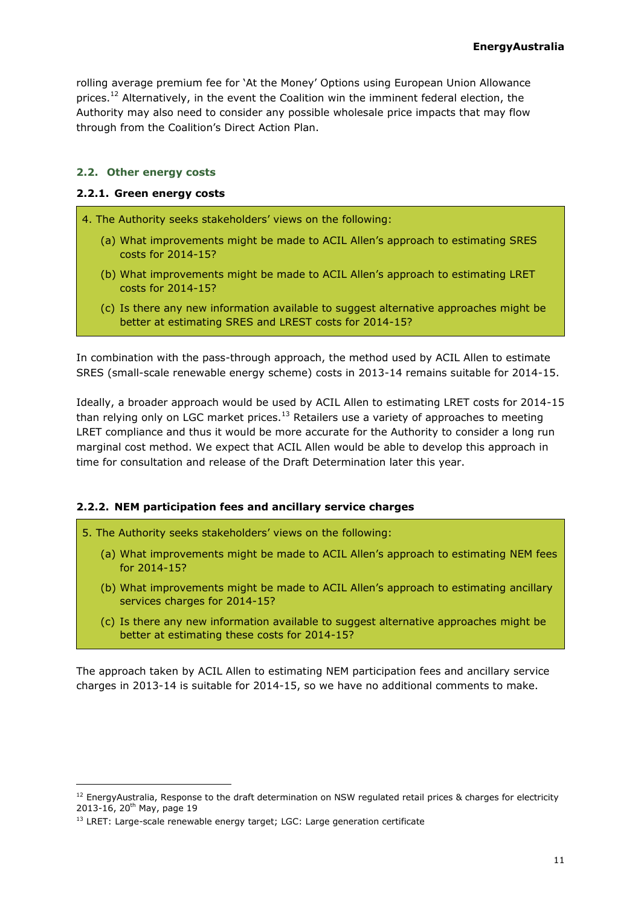rolling average premium fee for 'At the Money' Options using European Union Allowance prices.<sup>12</sup> Alternatively, in the event the Coalition win the imminent federal election, the Authority may also need to consider any possible wholesale price impacts that may flow through from the Coalition's Direct Action Plan.

#### <span id="page-10-0"></span>**2.2. Other energy costs**

#### **2.2.1. Green energy costs**

4. The Authority seeks stakeholders' views on the following:

- (a) What improvements might be made to ACIL Allen's approach to estimating SRES costs for 2014-15?
- (b) What improvements might be made to ACIL Allen's approach to estimating LRET costs for 2014-15?
- (c) Is there any new information available to suggest alternative approaches might be better at estimating SRES and LREST costs for 2014-15?

In combination with the pass-through approach, the method used by ACIL Allen to estimate SRES (small-scale renewable energy scheme) costs in 2013-14 remains suitable for 2014-15.

Ideally, a broader approach would be used by ACIL Allen to estimating LRET costs for 2014-15 than relying only on LGC market prices. $13$  Retailers use a variety of approaches to meeting LRET compliance and thus it would be more accurate for the Authority to consider a long run marginal cost method. We expect that ACIL Allen would be able to develop this approach in time for consultation and release of the Draft Determination later this year.

#### **2.2.2. NEM participation fees and ancillary service charges**

- 5. The Authority seeks stakeholders' views on the following:
	- (a) What improvements might be made to ACIL Allen's approach to estimating NEM fees for 2014-15?
	- (b) What improvements might be made to ACIL Allen's approach to estimating ancillary services charges for 2014-15?
	- (c) Is there any new information available to suggest alternative approaches might be better at estimating these costs for 2014-15?

The approach taken by ACIL Allen to estimating NEM participation fees and ancillary service charges in 2013-14 is suitable for 2014-15, so we have no additional comments to make.

 $12$  EnergyAustralia, Response to the draft determination on NSW regulated retail prices & charges for electricity 2013-16, 20th May, page 19

 $13$  LRET: Large-scale renewable energy target; LGC: Large generation certificate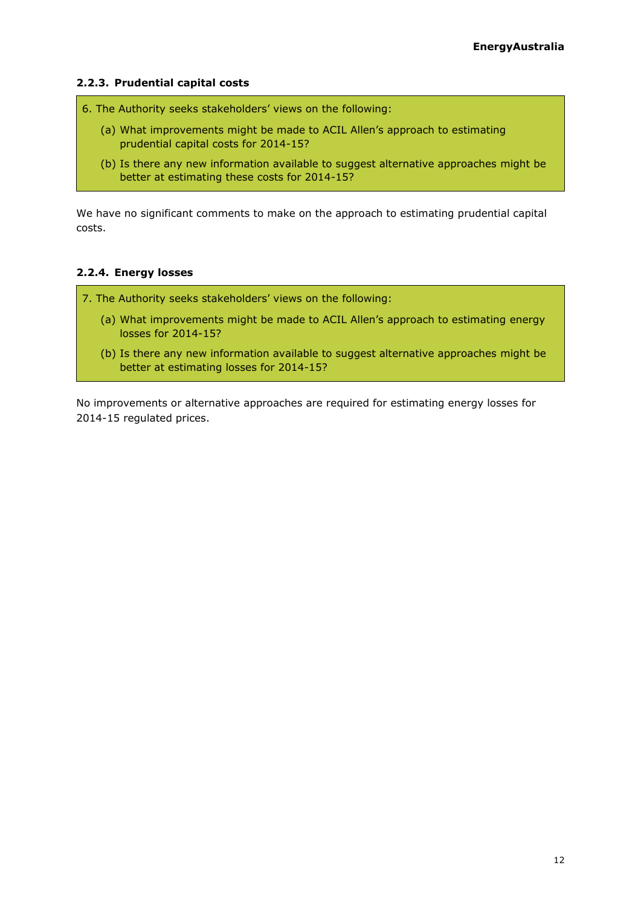#### **2.2.3. Prudential capital costs**

- 6. The Authority seeks stakeholders' views on the following:
	- (a) What improvements might be made to ACIL Allen's approach to estimating prudential capital costs for 2014-15?
	- (b) Is there any new information available to suggest alternative approaches might be better at estimating these costs for 2014-15?

We have no significant comments to make on the approach to estimating prudential capital costs.

#### **2.2.4. Energy losses**

7. The Authority seeks stakeholders' views on the following:

- (a) What improvements might be made to ACIL Allen's approach to estimating energy losses for 2014-15?
- (b) Is there any new information available to suggest alternative approaches might be better at estimating losses for 2014-15?

No improvements or alternative approaches are required for estimating energy losses for 2014-15 regulated prices.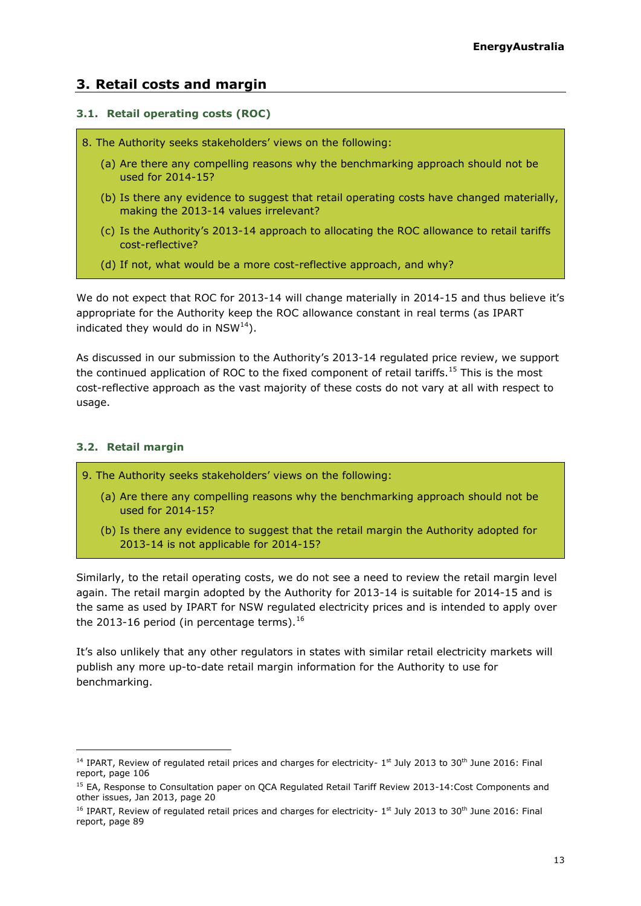# <span id="page-12-0"></span>**3. Retail costs and margin**

#### <span id="page-12-1"></span>**3.1. Retail operating costs (ROC)**

- 8. The Authority seeks stakeholders' views on the following:
	- (a) Are there any compelling reasons why the benchmarking approach should not be used for 2014-15?
	- (b) Is there any evidence to suggest that retail operating costs have changed materially, making the 2013-14 values irrelevant?
	- (c) Is the Authority's 2013-14 approach to allocating the ROC allowance to retail tariffs cost-reflective?
	- (d) If not, what would be a more cost-reflective approach, and why?

We do not expect that ROC for 2013-14 will change materially in 2014-15 and thus believe it's appropriate for the Authority keep the ROC allowance constant in real terms (as IPART indicated they would do in  $NSW^{14}$ ).

As discussed in our submission to the Authority's 2013-14 regulated price review, we support the continued application of ROC to the fixed component of retail tariffs.<sup>15</sup> This is the most cost-reflective approach as the vast majority of these costs do not vary at all with respect to usage.

#### <span id="page-12-2"></span>**3.2. Retail margin**

-

- 9. The Authority seeks stakeholders' views on the following:
	- (a) Are there any compelling reasons why the benchmarking approach should not be used for 2014-15?
	- (b) Is there any evidence to suggest that the retail margin the Authority adopted for 2013-14 is not applicable for 2014-15?

Similarly, to the retail operating costs, we do not see a need to review the retail margin level again. The retail margin adopted by the Authority for 2013-14 is suitable for 2014-15 and is the same as used by IPART for NSW regulated electricity prices and is intended to apply over the 2013-16 period (in percentage terms). $16$ 

It's also unlikely that any other regulators in states with similar retail electricity markets will publish any more up-to-date retail margin information for the Authority to use for benchmarking.

<sup>&</sup>lt;sup>14</sup> IPART, Review of regulated retail prices and charges for electricity- 1<sup>st</sup> July 2013 to 30<sup>th</sup> June 2016: Final report, page 106

<sup>&</sup>lt;sup>15</sup> EA, Response to Consultation paper on QCA Regulated Retail Tariff Review 2013-14:Cost Components and other issues, Jan 2013, page 20

<sup>&</sup>lt;sup>16</sup> IPART, Review of regulated retail prices and charges for electricity- 1<sup>st</sup> July 2013 to 30<sup>th</sup> June 2016: Final report, page 89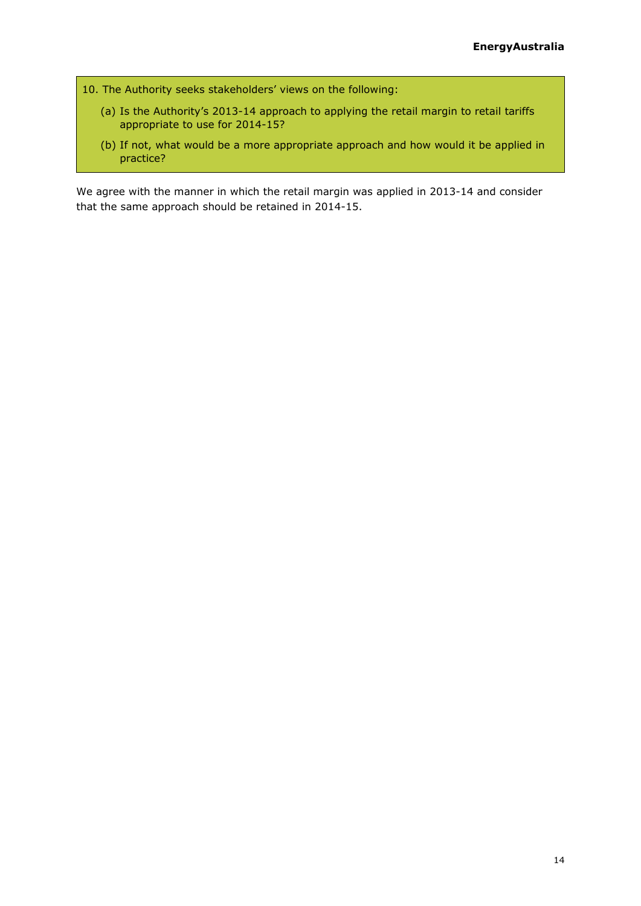- 10. The Authority seeks stakeholders' views on the following:
	- (a) Is the Authority's 2013-14 approach to applying the retail margin to retail tariffs appropriate to use for 2014-15?
	- (b) If not, what would be a more appropriate approach and how would it be applied in practice?

We agree with the manner in which the retail margin was applied in 2013-14 and consider that the same approach should be retained in 2014-15.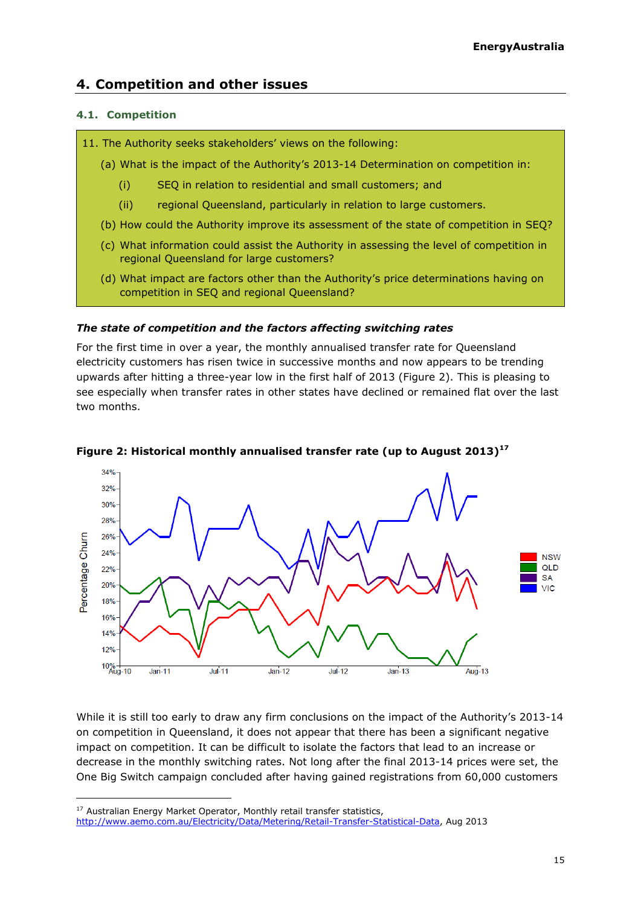# <span id="page-14-0"></span>**4. Competition and other issues**

#### <span id="page-14-1"></span>**4.1. Competition**

- 11. The Authority seeks stakeholders' views on the following:
	- (a) What is the impact of the Authority's 2013-14 Determination on competition in:
		- (i) SEQ in relation to residential and small customers; and
		- (ii) regional Queensland, particularly in relation to large customers.
	- (b) How could the Authority improve its assessment of the state of competition in SEQ?
	- (c) What information could assist the Authority in assessing the level of competition in regional Queensland for large customers?
	- (d) What impact are factors other than the Authority's price determinations having on competition in SEQ and regional Queensland?

#### *The state of competition and the factors affecting switching rates*

For the first time in over a year, the monthly annualised transfer rate for Queensland electricity customers has risen twice in successive months and now appears to be trending upwards after hitting a three-year low in the first half of 2013 (Figure 2). This is pleasing to see especially when transfer rates in other states have declined or remained flat over the last two months.



#### **Figure 2: Historical monthly annualised transfer rate (up to August 2013)<sup>17</sup>**

While it is still too early to draw any firm conclusions on the impact of the Authority's 2013-14 on competition in Queensland, it does not appear that there has been a significant negative impact on competition. It can be difficult to isolate the factors that lead to an increase or decrease in the monthly switching rates. Not long after the final 2013-14 prices were set, the One Big Switch campaign concluded after having gained registrations from 60,000 customers

<sup>17</sup> Australian Energy Market Operator, Monthly retail transfer statistics,

[http://www.aemo.com.au/Electricity/Data/Metering/Retail-Transfer-Statistical-Data,](http://www.aemo.com.au/Electricity/Data/Metering/Retail-Transfer-Statistical-Data) Aug 2013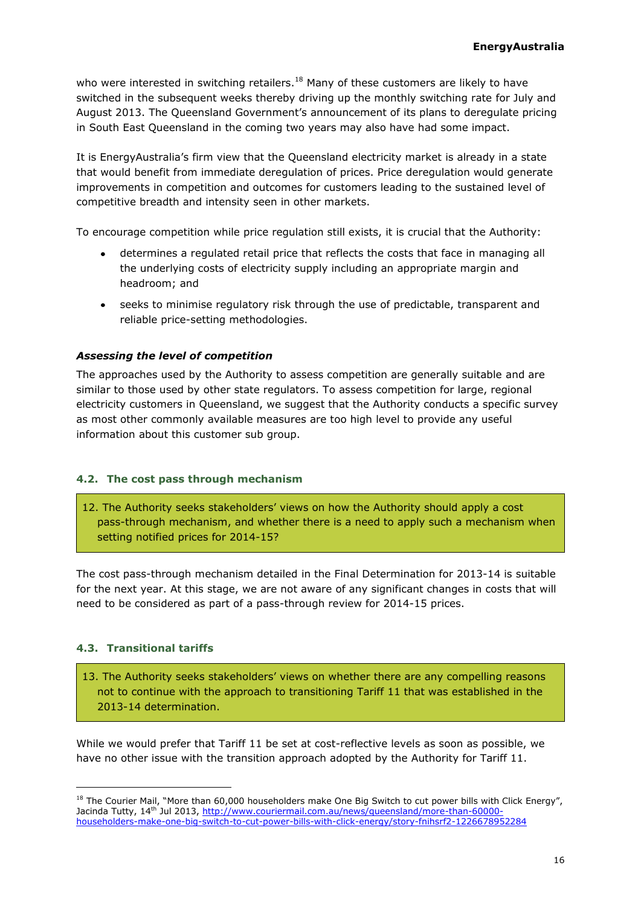who were interested in switching retailers.<sup>18</sup> Many of these customers are likely to have switched in the subsequent weeks thereby driving up the monthly switching rate for July and August 2013. The Queensland Government's announcement of its plans to deregulate pricing in South East Queensland in the coming two years may also have had some impact.

It is EnergyAustralia's firm view that the Queensland electricity market is already in a state that would benefit from immediate deregulation of prices. Price deregulation would generate improvements in competition and outcomes for customers leading to the sustained level of competitive breadth and intensity seen in other markets.

To encourage competition while price regulation still exists, it is crucial that the Authority:

- determines a regulated retail price that reflects the costs that face in managing all the underlying costs of electricity supply including an appropriate margin and headroom; and
- seeks to minimise regulatory risk through the use of predictable, transparent and reliable price-setting methodologies.

#### *Assessing the level of competition*

The approaches used by the Authority to assess competition are generally suitable and are similar to those used by other state regulators. To assess competition for large, regional electricity customers in Queensland, we suggest that the Authority conducts a specific survey as most other commonly available measures are too high level to provide any useful information about this customer sub group.

#### <span id="page-15-0"></span>**4.2. The cost pass through mechanism**

12. The Authority seeks stakeholders' views on how the Authority should apply a cost pass-through mechanism, and whether there is a need to apply such a mechanism when setting notified prices for 2014-15?

The cost pass-through mechanism detailed in the Final Determination for 2013-14 is suitable for the next year. At this stage, we are not aware of any significant changes in costs that will need to be considered as part of a pass-through review for 2014-15 prices.

#### <span id="page-15-1"></span>**4.3. Transitional tariffs**

-

13. The Authority seeks stakeholders' views on whether there are any compelling reasons not to continue with the approach to transitioning Tariff 11 that was established in the 2013-14 determination.

While we would prefer that Tariff 11 be set at cost-reflective levels as soon as possible, we have no other issue with the transition approach adopted by the Authority for Tariff 11.

<sup>&</sup>lt;sup>18</sup> The Courier Mail, "More than 60,000 householders make One Big Switch to cut power bills with Click Energy", Jacinda Tutty, 14<sup>th</sup> Jul 2013, [http://www.couriermail.com.au/news/queensland/more-than-60000](http://www.couriermail.com.au/news/queensland/more-than-60000-householders-make-one-big-switch-to-cut-power-bills-with-click-energy/story-fnihsrf2-1226678952284) [householders-make-one-big-switch-to-cut-power-bills-with-click-energy/story-fnihsrf2-1226678952284](http://www.couriermail.com.au/news/queensland/more-than-60000-householders-make-one-big-switch-to-cut-power-bills-with-click-energy/story-fnihsrf2-1226678952284)